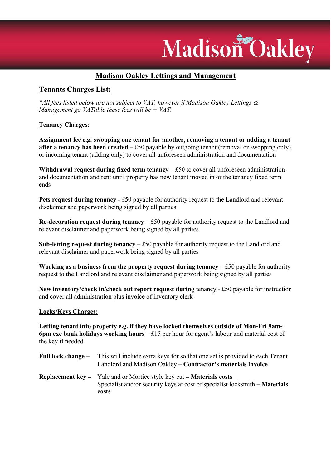# Madison Oakley

# Madison Oakley Lettings and Management

## Tenants Charges List:

\*All fees listed below are not subject to VAT, however if Madison Oakley Lettings & Management go VATable these fees will be  $+$  VAT.

## Tenancy Charges:

Assignment fee e.g. swopping one tenant for another, removing a tenant or adding a tenant after a tenancy has been created  $- f50$  payable by outgoing tenant (removal or swopping only) or incoming tenant (adding only) to cover all unforeseen administration and documentation

Withdrawal request during fixed term tenancy  $- f50$  to cover all unforeseen administration and documentation and rent until property has new tenant moved in or the tenancy fixed term ends

Pets request during tenancy - £50 payable for authority request to the Landlord and relevant disclaimer and paperwork being signed by all parties

Re-decoration request during tenancy  $- f50$  payable for authority request to the Landlord and relevant disclaimer and paperwork being signed by all parties

Sub-letting request during tenancy  $-$  £50 payable for authority request to the Landlord and relevant disclaimer and paperwork being signed by all parties

Working as a business from the property request during tenancy  $- £50$  payable for authority request to the Landlord and relevant disclaimer and paperwork being signed by all parties

New inventory/check in/check out report request during tenancy - £50 payable for instruction and cover all administration plus invoice of inventory clerk

### Locks/Keys Charges:

Letting tenant into property e.g. if they have locked themselves outside of Mon-Fri 9am-6pm exc bank holidays working hours  $-$  £15 per hour for agent's labour and material cost of the key if needed

- Full lock change This will include extra keys for so that one set is provided to each Tenant, Landlord and Madison Oakley – Contractor's materials invoice
- Replacement key Yale and or Mortice style key cut Materials costs Specialist and/or security keys at cost of specialist locksmith – Materials costs